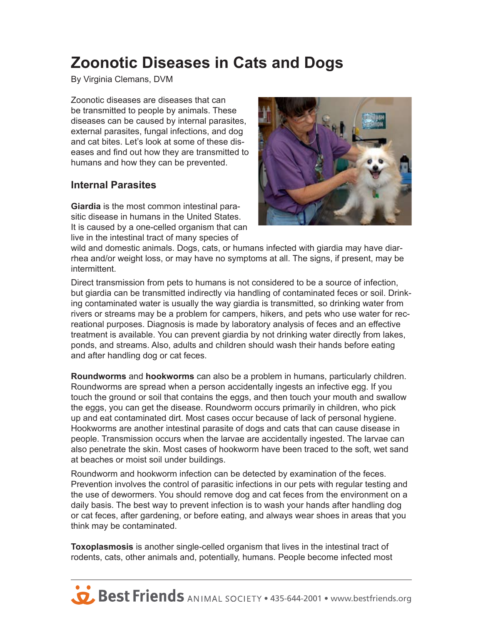# **Zoonotic Diseases in Cats and Dogs**

By Virginia Clemans, DVM

Zoonotic diseases are diseases that can be transmitted to people by animals. These diseases can be caused by internal parasites, external parasites, fungal infections, and dog and cat bites. Let's look at some of these diseases and find out how they are transmitted to humans and how they can be prevented.

#### **Internal Parasites**

**Giardia** is the most common intestinal parasitic disease in humans in the United States. It is caused by a one-celled organism that can live in the intestinal tract of many species of



wild and domestic animals. Dogs, cats, or humans infected with giardia may have diarrhea and/or weight loss, or may have no symptoms at all. The signs, if present, may be intermittent.

Direct transmission from pets to humans is not considered to be a source of infection, but giardia can be transmitted indirectly via handling of contaminated feces or soil. Drinking contaminated water is usually the way giardia is transmitted, so drinking water from rivers or streams may be a problem for campers, hikers, and pets who use water for recreational purposes. Diagnosis is made by laboratory analysis of feces and an effective treatment is available. You can prevent giardia by not drinking water directly from lakes, ponds, and streams. Also, adults and children should wash their hands before eating and after handling dog or cat feces.

**Roundworms** and **hookworms** can also be a problem in humans, particularly children. Roundworms are spread when a person accidentally ingests an infective egg. If you touch the ground or soil that contains the eggs, and then touch your mouth and swallow the eggs, you can get the disease. Roundworm occurs primarily in children, who pick up and eat contaminated dirt. Most cases occur because of lack of personal hygiene. Hookworms are another intestinal parasite of dogs and cats that can cause disease in people. Transmission occurs when the larvae are accidentally ingested. The larvae can also penetrate the skin. Most cases of hookworm have been traced to the soft, wet sand at beaches or moist soil under buildings.

Roundworm and hookworm infection can be detected by examination of the feces. Prevention involves the control of parasitic infections in our pets with regular testing and the use of dewormers. You should remove dog and cat feces from the environment on a daily basis. The best way to prevent infection is to wash your hands after handling dog or cat feces, after gardening, or before eating, and always wear shoes in areas that you think may be contaminated.

**Toxoplasmosis** is another single-celled organism that lives in the intestinal tract of rodents, cats, other animals and, potentially, humans. People become infected most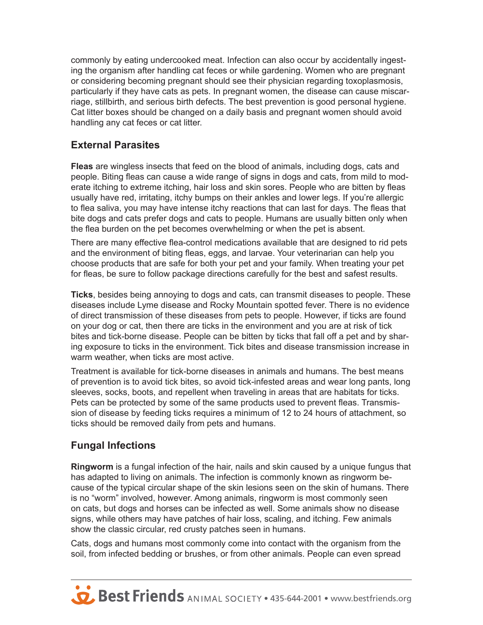commonly by eating undercooked meat. Infection can also occur by accidentally ingesting the organism after handling cat feces or while gardening. Women who are pregnant or considering becoming pregnant should see their physician regarding toxoplasmosis, particularly if they have cats as pets. In pregnant women, the disease can cause miscarriage, stillbirth, and serious birth defects. The best prevention is good personal hygiene. Cat litter boxes should be changed on a daily basis and pregnant women should avoid handling any cat feces or cat litter.

### **External Parasites**

**Fleas** are wingless insects that feed on the blood of animals, including dogs, cats and people. Biting fleas can cause a wide range of signs in dogs and cats, from mild to moderate itching to extreme itching, hair loss and skin sores. People who are bitten by fleas usually have red, irritating, itchy bumps on their ankles and lower legs. If you're allergic to flea saliva, you may have intense itchy reactions that can last for days. The fleas that bite dogs and cats prefer dogs and cats to people. Humans are usually bitten only when the flea burden on the pet becomes overwhelming or when the pet is absent.

There are many effective flea-control medications available that are designed to rid pets and the environment of biting fleas, eggs, and larvae. Your veterinarian can help you choose products that are safe for both your pet and your family. When treating your pet for fleas, be sure to follow package directions carefully for the best and safest results.

**Ticks**, besides being annoying to dogs and cats, can transmit diseases to people. These diseases include Lyme disease and Rocky Mountain spotted fever. There is no evidence of direct transmission of these diseases from pets to people. However, if ticks are found on your dog or cat, then there are ticks in the environment and you are at risk of tick bites and tick-borne disease. People can be bitten by ticks that fall off a pet and by sharing exposure to ticks in the environment. Tick bites and disease transmission increase in warm weather, when ticks are most active.

Treatment is available for tick-borne diseases in animals and humans. The best means of prevention is to avoid tick bites, so avoid tick-infested areas and wear long pants, long sleeves, socks, boots, and repellent when traveling in areas that are habitats for ticks. Pets can be protected by some of the same products used to prevent fleas. Transmission of disease by feeding ticks requires a minimum of 12 to 24 hours of attachment, so ticks should be removed daily from pets and humans.

### **Fungal Infections**

**Ringworm** is a fungal infection of the hair, nails and skin caused by a unique fungus that has adapted to living on animals. The infection is commonly known as ringworm because of the typical circular shape of the skin lesions seen on the skin of humans. There is no "worm" involved, however. Among animals, ringworm is most commonly seen on cats, but dogs and horses can be infected as well. Some animals show no disease signs, while others may have patches of hair loss, scaling, and itching. Few animals show the classic circular, red crusty patches seen in humans.

Cats, dogs and humans most commonly come into contact with the organism from the soil, from infected bedding or brushes, or from other animals. People can even spread